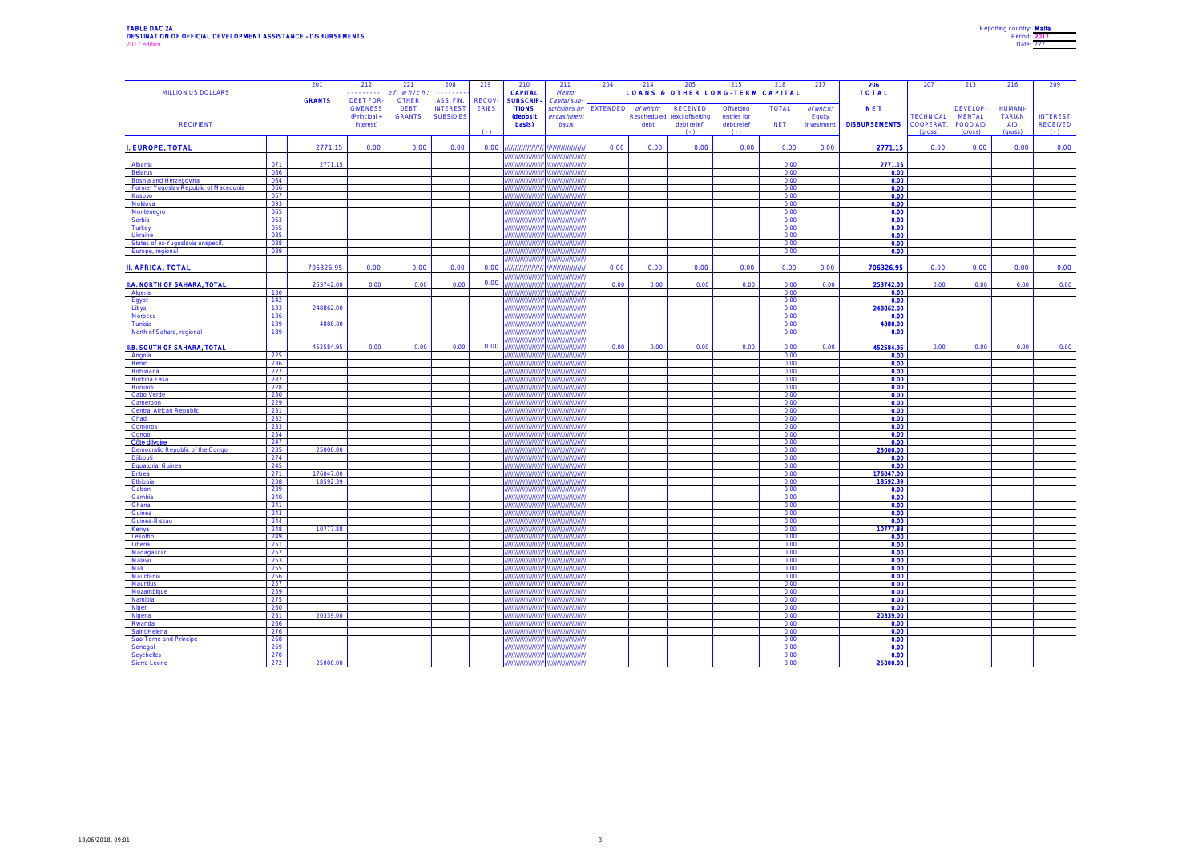## TABLE DAC 2A Reporting country: <u>Malta</u><br>DESTINATION OF OFFICIAL DEVELOPMENT ASSISTANCE - DISBURSEMENTS Period: <u>2017</u><br>2017 Date: <u>???</u>?

| Reporting country: Malta |  |
|--------------------------|--|
| Period: 2017             |  |
| Date: 222                |  |

|                                                                 |            | 201                   | 212                       | 221                       | 208              | 219          | 210                               | 211                   | 204      | 214       | 205                                          | 215                                        | 218                        | 217                 | 206                   | 207                           | 213                       | 216                  | 209                                |
|-----------------------------------------------------------------|------------|-----------------------|---------------------------|---------------------------|------------------|--------------|-----------------------------------|-----------------------|----------|-----------|----------------------------------------------|--------------------------------------------|----------------------------|---------------------|-----------------------|-------------------------------|---------------------------|----------------------|------------------------------------|
| <b>MILLION US DOLLARS</b>                                       |            | <b>GRANTS</b>         | .<br><b>DEBT FOR-</b>     | of which.<br><b>OTHER</b> | .<br>ASS. FIN.   | <b>RECOV</b> | <b>CAPITAL</b><br><b>SUBSCRIP</b> | Memo:<br>Capital sub- |          |           |                                              | <b>LOANS &amp; OTHER LONG-TERM CAPITAL</b> |                            |                     | <b>TOTAL</b>          |                               |                           |                      |                                    |
|                                                                 |            |                       | <b>GIVENESS</b>           | <b>DEBT</b>               | <b>INTEREST</b>  | <b>ERIES</b> | <b>TIONS</b>                      | scriptions on         | EXTENDED | of which: | <b>RECEIVED</b>                              | Offsetting                                 | <b>TOTAL</b>               | of which:           | <b>NET</b>            |                               | DEVELOP-                  | <b>HUMANI</b>        |                                    |
| <b>RECIPIENT</b>                                                |            |                       | (Principal +<br>interest) | <b>GRANTS</b>             | <b>SUBSIDIES</b> |              | <b>(deposit</b><br>basis)         | encashmeni<br>basis   |          | debt      | Rescheduled (excl.offsetting<br>debt relief) | entries for<br>debt relief                 | <b>NET</b>                 | Equity<br>investmen | <b>DISBURSEMENTS</b>  | <b>TECHNICAL</b><br>COOPERAT. | <b>MENTAL</b><br>FOOD AID | <b>TARIAN</b><br>AID | <b>INTEREST</b><br><b>RECEIVED</b> |
|                                                                 |            |                       |                           |                           |                  | (1)          |                                   |                       |          |           | $( - )$                                      | $(\cdot)$                                  |                            |                     |                       | (gross)                       | (gross)                   | (gross)              | $(-)$                              |
| I. EUROPE, TOTAL                                                |            | 2771.15               | 0.00                      | 0.00                      | 0.00             | 0.00         | ,,,,,,,,,,,,,,,,                  | ,,,,,,,,,,,,,,,,      | 0.00     | 0.00      | 0.00                                         | 0.00                                       | 0.00                       | 0.00                | 2771.15               | 0.00                          | 0.00                      | 0.00                 | 0.00                               |
| Albania                                                         | 071        | 2771.15               |                           |                           |                  |              |                                   |                       |          |           |                                              |                                            | 0.00                       |                     | 2771.15               |                               |                           |                      |                                    |
| <b>Belarus</b>                                                  | 086        |                       |                           |                           |                  |              |                                   |                       |          |           |                                              |                                            | 0.00                       |                     | 0.00                  |                               |                           |                      |                                    |
| Bosnia and Herzegovina<br>Former Yugoslav Republic of Macedonia | 064<br>066 |                       |                           |                           |                  |              |                                   |                       |          |           |                                              |                                            | 0.00<br>0.00               |                     | 0.00<br>0.00          |                               |                           |                      |                                    |
| Kosovo                                                          | 057        |                       |                           |                           |                  |              |                                   |                       |          |           |                                              |                                            | 0.00                       |                     | 0.00                  |                               |                           |                      |                                    |
| Moldova<br>Montenegro                                           | 093<br>065 |                       |                           |                           |                  |              |                                   |                       |          |           |                                              |                                            | 0.00<br>0.00               |                     | 0.00<br>0.00          |                               |                           |                      |                                    |
| Serbia                                                          | 063        |                       |                           |                           |                  |              |                                   |                       |          |           |                                              |                                            | 0.00                       |                     | 0.00                  |                               |                           |                      |                                    |
| Turkey<br>Ukraine                                               | 055<br>085 |                       |                           |                           |                  |              |                                   |                       |          |           |                                              |                                            | 0.00<br>0.00               |                     | 0.00<br>0.00          |                               |                           |                      |                                    |
| States of ex-Yugoslavia unspecif.                               | 088        |                       |                           |                           |                  |              |                                   |                       |          |           |                                              |                                            | 0.00                       |                     | 0.00                  |                               |                           |                      |                                    |
| Europe, regional                                                | 089        |                       |                           |                           |                  |              |                                   |                       |          |           |                                              |                                            | 0.00                       |                     | 0.00                  |                               |                           |                      |                                    |
| <b>II. AFRICA, TOTAL</b>                                        |            | 706326.95             | 0.00                      | 0.00                      | 0.00             | 0.00         | ,,,,,,,,,,,,                      | 777777777777777       | 0.00     | 0.00      | 0.00                                         | 0.00                                       | 0.00                       | 0.00                | 706326.95             | 0.00                          | 0.00                      | 0.00                 | 0.00                               |
| II.A. NORTH OF SAHARA, TOTAL                                    |            | 253742.00             | 0.00                      | 0.00                      | 0.00             | 0.00         | $\frac{1}{2}$                     |                       | 0.00     | 0.00      | 0.00                                         | 0.00                                       | 0.00                       | 0.00                | 253742.00             | 0.00                          | 0.00                      | 0.00                 | 0.00                               |
| Algeria<br>Egypt                                                | 130<br>142 |                       |                           |                           |                  |              |                                   |                       |          |           |                                              |                                            | 0.00<br>0.00               |                     | 0.00<br>0.00          |                               |                           |                      |                                    |
| Libya                                                           | 133        | 248862.00             |                           |                           |                  |              |                                   |                       |          |           |                                              |                                            | 0.00                       |                     | 248862.00             |                               |                           |                      |                                    |
| Morocco                                                         | 136        |                       |                           |                           |                  |              |                                   |                       |          |           |                                              |                                            | 0.00                       |                     | 0.00                  |                               |                           |                      |                                    |
| Tunisia<br>North of Sahara, regional                            | 139<br>189 | 4880.00               |                           |                           |                  |              |                                   |                       |          |           |                                              |                                            | 0.00<br>0.00               |                     | 4880.00<br>0.00       |                               |                           |                      |                                    |
|                                                                 |            |                       |                           |                           |                  | 0.00         |                                   |                       |          |           |                                              |                                            |                            |                     |                       |                               |                           |                      |                                    |
| <b>II.B. SOUTH OF SAHARA, TOTAL</b><br>Angola                   | 225        | 452584.95             | 0.00                      | 0.00                      | 0.00             |              |                                   |                       | 0.00     | 0.00      | 0.00                                         | 0.00                                       | 0.00<br>0.00               | 0.00                | 452584.95<br>0.00     | 0.00                          | 0.00                      | 0.00                 | 0.00                               |
| Benin                                                           | 236        |                       |                           |                           |                  |              |                                   |                       |          |           |                                              |                                            | 0.00                       |                     | 0.00                  |                               |                           |                      |                                    |
| Botswana<br><b>Burkina Faso</b>                                 | 227<br>287 |                       |                           |                           |                  |              |                                   |                       |          |           |                                              |                                            | 0.00<br>0.00               |                     | 0.00<br>0.00          |                               |                           |                      |                                    |
| Burundi                                                         | 228        |                       |                           |                           |                  |              |                                   |                       |          |           |                                              |                                            | 0.00                       |                     | 0.00                  |                               |                           |                      |                                    |
| Cabo Verde<br>Cameroon                                          | 230<br>229 |                       |                           |                           |                  |              |                                   |                       |          |           |                                              |                                            | 0.00<br>0.00               |                     | 0.00<br>0.00          |                               |                           |                      |                                    |
| Central African Republic                                        | 231        |                       |                           |                           |                  |              |                                   |                       |          |           |                                              |                                            | 0.00                       |                     | 0.00                  |                               |                           |                      |                                    |
| Chad<br>Comoros                                                 | 232        |                       |                           |                           |                  |              |                                   |                       |          |           |                                              |                                            | 0.00<br>0.00               |                     | 0.00<br>0.00          |                               |                           |                      |                                    |
| Congo                                                           | 233<br>234 |                       |                           |                           |                  |              |                                   |                       |          |           |                                              |                                            | 0.00                       |                     | 0.00                  |                               |                           |                      |                                    |
| Côte d'Ivoire                                                   | 247        |                       |                           |                           |                  |              |                                   |                       |          |           |                                              |                                            | 0.00                       |                     | 0.00                  |                               |                           |                      |                                    |
| Democratic Republic of the Congo<br>Djibouti                    | 235<br>274 | 25000.00              |                           |                           |                  |              |                                   |                       |          |           |                                              |                                            | 0.00<br>0.00               |                     | 25000.00<br>0.00      |                               |                           |                      |                                    |
| <b>Equatorial Guinea</b>                                        | 245        |                       |                           |                           |                  |              |                                   |                       |          |           |                                              |                                            | 0.00                       |                     | 0.00                  |                               |                           |                      |                                    |
| Eritrea<br>Ethiopia                                             | 271<br>238 | 176047.00<br>18592.39 |                           |                           |                  |              |                                   |                       |          |           |                                              |                                            | 0.00<br>0.00               |                     | 176047.00<br>18592.39 |                               |                           |                      |                                    |
| Gabon                                                           | 239        |                       |                           |                           |                  |              |                                   |                       |          |           |                                              |                                            | 0.00                       |                     | 0.00                  |                               |                           |                      |                                    |
| Gambia<br>Ghana                                                 | 240<br>241 |                       |                           |                           |                  |              |                                   |                       |          |           |                                              |                                            | 000<br>0.00                |                     | 0.00<br>0.00          |                               |                           |                      |                                    |
| Guinea                                                          | 243        |                       |                           |                           |                  |              |                                   |                       |          |           |                                              |                                            | 0.OC                       |                     | 0.00                  |                               |                           |                      |                                    |
| Guinea-Bissau<br>Kenya                                          | 244<br>248 | 10777.88              |                           |                           |                  |              |                                   |                       |          |           |                                              |                                            | 0.00<br>0.00               |                     | 0.00<br>10777.88      |                               |                           |                      |                                    |
| Lesotho                                                         | 249        |                       |                           |                           |                  |              |                                   |                       |          |           |                                              |                                            | 0.00                       |                     | 0.00                  |                               |                           |                      |                                    |
| Liberia<br>Madagasca                                            | 251<br>252 |                       |                           |                           |                  |              |                                   |                       |          |           |                                              |                                            | 0.00<br>0.00               |                     | 0.00<br>0.00          |                               |                           |                      |                                    |
| Malawi                                                          | 253        |                       |                           |                           |                  |              |                                   |                       |          |           |                                              |                                            | 0.00                       |                     | 0.00                  |                               |                           |                      |                                    |
| Mali                                                            | 255        |                       |                           |                           |                  |              |                                   |                       |          |           |                                              |                                            | 0.00                       |                     | 0.00                  |                               |                           |                      |                                    |
| Mauritania<br>Mauritius                                         | 256<br>257 |                       |                           |                           |                  |              |                                   |                       |          |           |                                              |                                            | 0.00<br>0.00               |                     | 0.00<br>0.00          |                               |                           |                      |                                    |
| Mozambigu                                                       | 259        |                       |                           |                           |                  |              |                                   |                       |          |           |                                              |                                            | 0.00                       |                     | 0.00                  |                               |                           |                      |                                    |
| Namibia<br>Niger                                                | 275<br>260 |                       |                           |                           |                  |              |                                   |                       |          |           |                                              |                                            | 0.00<br>0.00               |                     | 0.00<br>0.00          |                               |                           |                      |                                    |
| Nigeria                                                         | 261        | 20339.00              |                           |                           |                  |              |                                   |                       |          |           |                                              |                                            | 0.00                       |                     | 20339.00              |                               |                           |                      |                                    |
| Rwanda<br>Saint Helena                                          | 266<br>276 |                       |                           |                           |                  |              |                                   |                       |          |           |                                              |                                            | 0.00<br>0.00               |                     | 0.00<br>0.00          |                               |                           |                      |                                    |
| Sao Tome and Principe                                           | 268        |                       |                           |                           |                  |              |                                   |                       |          |           |                                              |                                            | 0 <sup>0<sup>c</sup></sup> |                     | 0.00                  |                               |                           |                      |                                    |
| Senegal                                                         | 269<br>270 |                       |                           |                           |                  |              |                                   |                       |          |           |                                              |                                            | 0.00<br>0.00               |                     | 0.00<br>0.00          |                               |                           |                      |                                    |
| Seychelles                                                      |            |                       |                           |                           |                  |              |                                   |                       |          |           |                                              |                                            |                            |                     | 00.00                 |                               |                           |                      |                                    |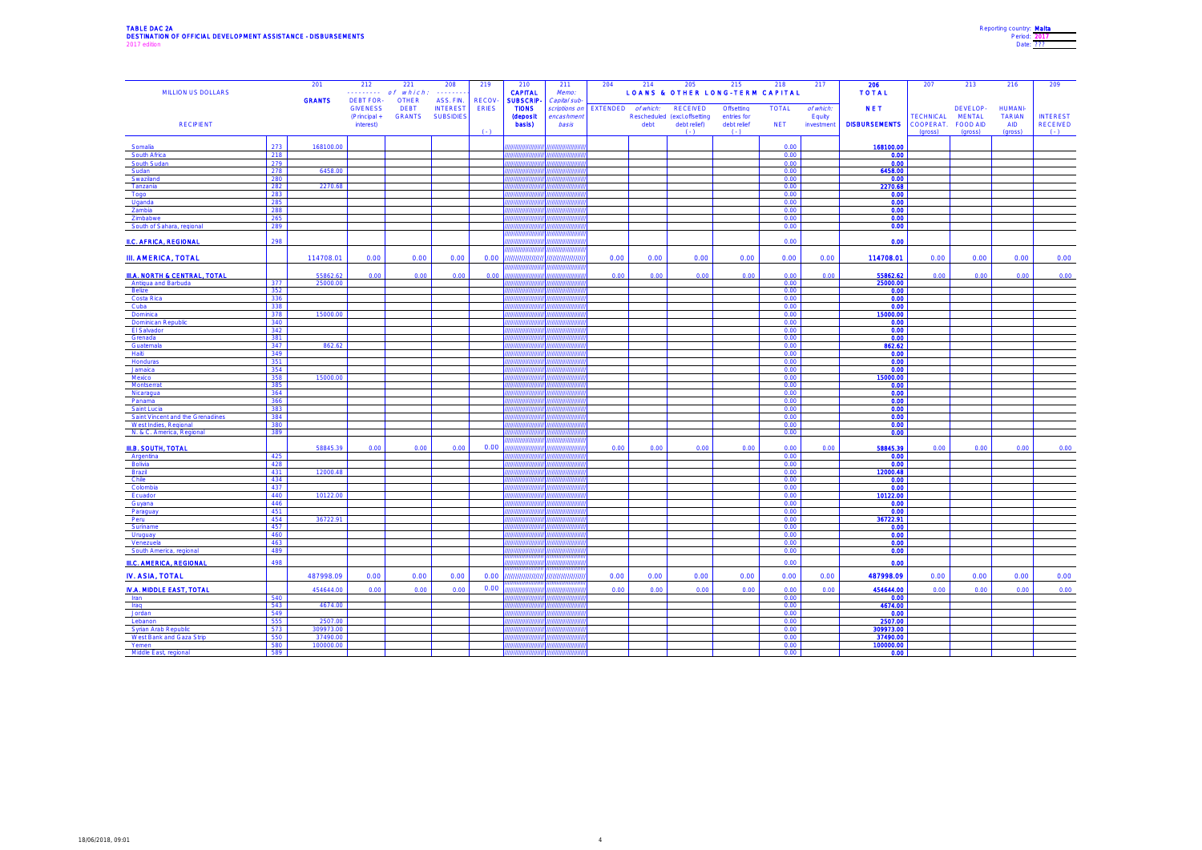#### TABLE DAC 2A Reporting Country: Malta Description of Description of Description of Description of Description of Description of Order 2017<br>DESTINATION OF OFFICIAL DEVELOPMENT ASSISTANCE - DISBURSEMENTS 2017 edition **Date: 222 and Separate Additional Date: 222** and Date: 2017 edition **Date: 222** and Date: 2017 edition

| Reporting country: Malta |  |
|--------------------------|--|
| Period: 2017             |  |
| Date: 222                |  |

| <b>MILLION US DOLLARS</b>                                 |            | 201                   | 212<br>1.1.1.1.1.1.                 | 221<br>which.<br>of         | 208<br>.                     | 219                          | 210<br><b>CAPITAL</b>           | 211<br>Memo:                 | 204      | 214       | 205                          | 215<br><b>LOANS &amp; OTHER LONG-TERM CAPITAL</b> | 218          | 217        | 206<br><b>TOTAL</b>   | 207                  | 213                 | 216                   | 209                      |
|-----------------------------------------------------------|------------|-----------------------|-------------------------------------|-----------------------------|------------------------------|------------------------------|---------------------------------|------------------------------|----------|-----------|------------------------------|---------------------------------------------------|--------------|------------|-----------------------|----------------------|---------------------|-----------------------|--------------------------|
|                                                           |            | <b>GRANTS</b>         | <b>DEBT FOR-</b><br><b>GIVENESS</b> | <b>OTHER</b><br><b>DEBT</b> | ASS. FIN.<br><b>INTEREST</b> | <b>RECOV</b><br><b>ERIES</b> | <b>SUBSCRIP</b><br><b>TIONS</b> | Capital sub<br>scriptions on | EXTENDED | of which: | <b>RECEIVED</b>              | Offsetting                                        | <b>TOTAL</b> | of which:  | <b>NET</b>            |                      | DEVELOP-            | <b>HUMANI-</b>        |                          |
|                                                           |            |                       | (Principal +                        | <b>GRANTS</b>               | <b>SUBSIDIES</b>             |                              | <b>(deposit</b>                 | encashmen                    |          |           | Rescheduled (excl.offsetting | entries for                                       |              | Equity     |                       | <b>TECHNICAL</b>     | <b>MENTAL</b>       | <b>TARIAN</b>         | <b>INTEREST</b>          |
| <b>RECIPIENT</b>                                          |            |                       | interest)                           |                             |                              | $(1 - 1)$                    | basis)                          | basis                        |          | debt      | debt relief)<br>$( - )$      | debt relief<br>$( - )$                            | <b>NET</b>   | investment | <b>DISBURSEMENTS</b>  | COOPERAT.<br>(gross) | FOOD AID<br>(gross) | <b>AID</b><br>(gross) | <b>RECEIVED</b><br>$(-)$ |
|                                                           | 273        |                       |                                     |                             |                              |                              |                                 |                              |          |           |                              |                                                   |              |            |                       |                      |                     |                       |                          |
| Somalia<br>South Africa                                   | 218        | 168100.00             |                                     |                             |                              |                              |                                 |                              |          |           |                              |                                                   | 0.00<br>0.00 |            | 168100.00<br>0.00     |                      |                     |                       |                          |
| South Sudar                                               | 279        |                       |                                     |                             |                              |                              |                                 |                              |          |           |                              |                                                   | 0.00         |            | 0.00                  |                      |                     |                       |                          |
| Sudan                                                     | 278        | 6458.00               |                                     |                             |                              |                              |                                 |                              |          |           |                              |                                                   | 0.00         |            | 6458.00               |                      |                     |                       |                          |
| Swaziland<br>Tanzania                                     | 280<br>282 | 2270.68               |                                     |                             |                              |                              |                                 |                              |          |           |                              |                                                   | 0.00<br>0.00 |            | 0.00<br>2270.68       |                      |                     |                       |                          |
| Togo                                                      | 283        |                       |                                     |                             |                              |                              |                                 |                              |          |           |                              |                                                   | 0.00         |            | 0.00                  |                      |                     |                       |                          |
| Uganda                                                    | 285        |                       |                                     |                             |                              |                              |                                 |                              |          |           |                              |                                                   | 0.00         |            | 0.00                  |                      |                     |                       |                          |
| Zambia<br>Zimbabw                                         | 288<br>265 |                       |                                     |                             |                              |                              |                                 |                              |          |           |                              |                                                   | 0.00<br>0.00 |            | 0.00<br>0.00          |                      |                     |                       |                          |
| South of Sahara, regional                                 | 289        |                       |                                     |                             |                              |                              |                                 |                              |          |           |                              |                                                   | 0.00         |            | 0.00                  |                      |                     |                       |                          |
|                                                           |            |                       |                                     |                             |                              |                              |                                 |                              |          |           |                              |                                                   |              |            |                       |                      |                     |                       |                          |
| <b>II.C. AFRICA, REGIONAL</b>                             | 298        |                       |                                     |                             |                              |                              |                                 |                              |          |           |                              |                                                   | 0.00         |            | 0.00                  |                      |                     |                       |                          |
| <b>III. AMERICA, TOTAL</b>                                |            | 114708.01             | 0.00                                | 0.00                        | 0.00                         | 0.00                         | ,,,,,,,,,,,,,,,,,               | ,,,,,,,,,,,,,,,,             | 0.00     | 0.00      | 0.00                         | 0.00                                              | 0.00         | 0.00       | 114708.01             | 0.00                 | 0.00                | 0.00                  | 0.00                     |
|                                                           |            |                       |                                     |                             |                              |                              |                                 |                              |          |           |                              |                                                   |              |            |                       |                      |                     |                       |                          |
| <b>III.A. NORTH &amp; CENTRAL. TOTAL</b>                  |            | 55862.63              | 0.00                                | 0.00                        | 0.00                         | 0.00                         |                                 |                              | 0.00     | 0.00      | 0.00                         | 0.00                                              | 0.00         | 0.00       | 55862.62              | 0.00                 | 0.00                | 0.00                  | 0.00                     |
| Antigua and Barbuda<br>Belize                             | 377<br>352 | 25000.00              |                                     |                             |                              |                              |                                 |                              |          |           |                              |                                                   | 0.00<br>0.00 |            | 25000.00<br>0.00      |                      |                     |                       |                          |
| Costa Rica                                                | 336        |                       |                                     |                             |                              |                              |                                 |                              |          |           |                              |                                                   | 0.00         |            | 0.00                  |                      |                     |                       |                          |
| Cuba                                                      | 338        |                       |                                     |                             |                              |                              |                                 |                              |          |           |                              |                                                   | 0.00         |            | 0.00                  |                      |                     |                       |                          |
| Dominica<br><b>Dominican Republic</b>                     | 378<br>340 | 15000.00              |                                     |                             |                              |                              |                                 |                              |          |           |                              |                                                   | 0.00<br>0.00 |            | 15000.00<br>0.00      |                      |                     |                       |                          |
| El Salvador                                               | 342        |                       |                                     |                             |                              |                              |                                 |                              |          |           |                              |                                                   | 0.00         |            | 0.00                  |                      |                     |                       |                          |
| Grenada                                                   | 381        |                       |                                     |                             |                              |                              |                                 |                              |          |           |                              |                                                   | 0.00         |            | 0.00                  |                      |                     |                       |                          |
| Guatemala                                                 | 347<br>349 | 862.62                |                                     |                             |                              |                              |                                 |                              |          |           |                              |                                                   | 0.00<br>0.00 |            | 862.62<br>0.00        |                      |                     |                       |                          |
| Haiti<br>Honduras                                         | 351        |                       |                                     |                             |                              |                              |                                 |                              |          |           |                              |                                                   | 0.00         |            | 0.00                  |                      |                     |                       |                          |
| Jamaica                                                   | 354        |                       |                                     |                             |                              |                              |                                 |                              |          |           |                              |                                                   | 0.00         |            | 0.00                  |                      |                     |                       |                          |
| Mexico                                                    | 358        | 15000.00              |                                     |                             |                              |                              |                                 |                              |          |           |                              |                                                   | 0.00         |            | 15000.00              |                      |                     |                       |                          |
| Montserrat<br>Nicaragua                                   | 385<br>364 |                       |                                     |                             |                              |                              |                                 |                              |          |           |                              |                                                   | 0.00<br>0.00 |            | 0.00<br>0.00          |                      |                     |                       |                          |
| Panama                                                    | 366        |                       |                                     |                             |                              |                              |                                 |                              |          |           |                              |                                                   | 0.00         |            | 0.00                  |                      |                     |                       |                          |
| Saint Lucia                                               | 383        |                       |                                     |                             |                              |                              |                                 |                              |          |           |                              |                                                   | 0.00         |            | 0.00                  |                      |                     |                       |                          |
| Saint Vincent and the Grenadines<br>West Indies, Regional | 384<br>380 |                       |                                     |                             |                              |                              |                                 |                              |          |           |                              |                                                   | 0.00<br>0.00 |            | 0.00<br>0.00          |                      |                     |                       |                          |
| N. & C. America, Regional                                 | 389        |                       |                                     |                             |                              |                              |                                 |                              |          |           |                              |                                                   | 0.00         |            | 0.00                  |                      |                     |                       |                          |
| <b>III.B. SOUTH, TOTAL</b>                                |            | 58845.39              | 0.00                                | 0.00                        | 0.00                         | 0.00                         | ,,,,,,,,,,,,,,,                 | 777777777777                 | 0.00     | 0.00      | 0.00                         | 0.00                                              | 0.00         | 0.00       | 58845.39              | 0.00                 | 0.00                | 0.00                  | 0.00                     |
| Argentina                                                 | 425        |                       |                                     |                             |                              |                              |                                 | ,,,,,,,,,                    |          |           |                              |                                                   | 0.00         |            | 0.00                  |                      |                     |                       |                          |
| Bolivia                                                   | 428        |                       |                                     |                             |                              |                              | ,,,,,,,,,,,,,,,,,,,             | ,,,,,,,,,,,,,,,,             |          |           |                              |                                                   | 0.00         |            | 0.00                  |                      |                     |                       |                          |
| Brazil                                                    | 431        | 12000.48              |                                     |                             |                              |                              | 7 <i>111111111111111</i>        | 777777777777777<br>,,,,,,,,  |          |           |                              |                                                   | 0.00         |            | 12000.48              |                      |                     |                       |                          |
| Chile<br>Colombia                                         | 434<br>437 |                       |                                     |                             |                              |                              |                                 | ,,,,,,,,,                    |          |           |                              |                                                   | 0.00<br>0.00 |            | 0.00<br>0.00          |                      |                     |                       |                          |
| Ecuador                                                   | 440        | 10122.00              |                                     |                             |                              |                              |                                 |                              |          |           |                              |                                                   | 0.00         |            | 10122.00              |                      |                     |                       |                          |
| Guvana<br>Paraguay                                        | 446<br>451 |                       |                                     |                             |                              |                              |                                 |                              |          |           |                              |                                                   | 0.00<br>0.00 |            | 0.00<br>0.00          |                      |                     |                       |                          |
| Peru                                                      | 454        | 36722.91              |                                     |                             |                              |                              |                                 |                              |          |           |                              |                                                   | 0.00         |            | 36722.91              |                      |                     |                       |                          |
| Suriname                                                  | 457        |                       |                                     |                             |                              |                              |                                 |                              |          |           |                              |                                                   | 0.00         |            | 0.00                  |                      |                     |                       |                          |
| Uruguay                                                   | 460        |                       |                                     |                             |                              |                              |                                 |                              |          |           |                              |                                                   | 0.00         |            | 0.00                  |                      |                     |                       |                          |
| Venezuela<br>South America, regional                      | 463<br>489 |                       |                                     |                             |                              |                              |                                 |                              |          |           |                              |                                                   | 0.00<br>0.00 |            | 0.00<br>0.00          |                      |                     |                       |                          |
| <b>III.C. AMERICA, REGIONAL</b>                           | 498        |                       |                                     |                             |                              |                              |                                 |                              |          |           |                              |                                                   | 0.00         |            | 0.00                  |                      |                     |                       |                          |
|                                                           |            |                       |                                     |                             |                              |                              |                                 |                              |          |           |                              |                                                   |              |            |                       |                      |                     |                       |                          |
| IV. ASIA, TOTAL                                           |            | 487998.09             | 0.00                                | 0.00                        | 0.00                         | 0.00                         | ,,,,,,,,,,,,,,,                 | 77777777777777               | 0.00     | 0.00      | 0.00                         | 0.00                                              | 0.00         | 0.00       | 487998.09             | 0.00                 | 0.00                | 0.00                  | 0.00                     |
| <b>IV.A. MIDDLE EAST, TOTAL</b>                           |            | 454644.00             | 0.00                                | 0.00                        | 0.00                         | 0.00                         |                                 |                              | 0.00     | 0.00      | 0.00                         | 0.00                                              | 0.00         | 0.00       | 454644.00             | 0.00                 | 0.00                | 0.00                  | 0.00                     |
| Iran                                                      | 540<br>543 | 4674.00               |                                     |                             |                              |                              |                                 |                              |          |           |                              |                                                   | 0.00<br>0.00 |            | 0.00<br>4674.00       |                      |                     |                       |                          |
| Iraq<br>Jordan                                            | 549        |                       |                                     |                             |                              |                              |                                 |                              |          |           |                              |                                                   | 0.00         |            | 0.00                  |                      |                     |                       |                          |
| Lebanon                                                   | 555        | 2507.00               |                                     |                             |                              |                              |                                 |                              |          |           |                              |                                                   | 0.00         |            | 2507.00               |                      |                     |                       |                          |
| <b>Syrian Arab Republic</b>                               | 573        | 09973.00              |                                     |                             |                              |                              |                                 |                              |          |           |                              |                                                   | 0.00         |            | 309973.00             |                      |                     |                       |                          |
| West Bank and Gaza Strip<br>Yemen                         | 550<br>580 | 37490.00<br>100000.00 |                                     |                             |                              |                              |                                 |                              |          |           |                              |                                                   | 0.00<br>0.00 |            | 37490.00<br>100000.00 |                      |                     |                       |                          |
| Middle East, regiona                                      | 589        |                       |                                     |                             |                              |                              |                                 |                              |          |           |                              |                                                   | 0.00         |            | 0.00                  |                      |                     |                       |                          |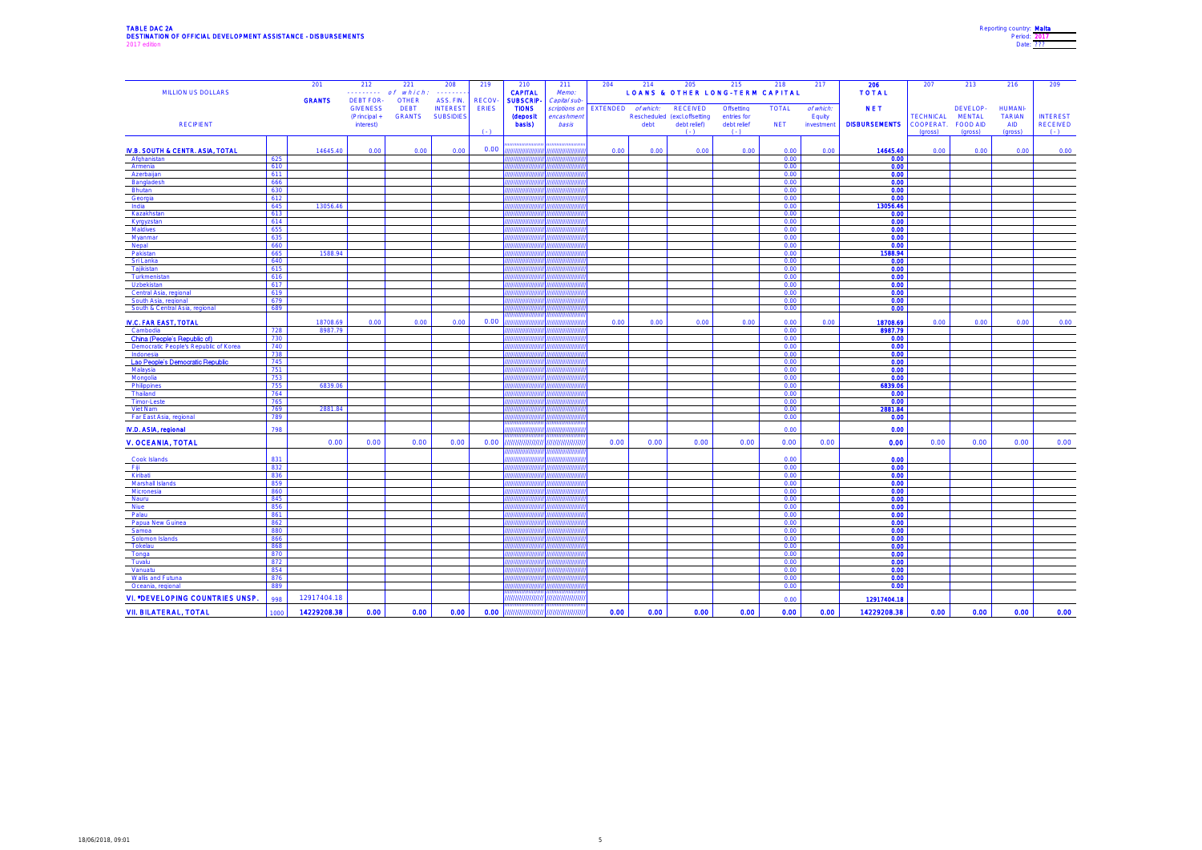## TABLE DAC 2A Reporting country: <u>Malta</u><br>DESTINATION OF OFFICIAL DEVELOPMENT ASSISTANCE - DISBURSEMENTS Period: <u>2017</u><br>2017 Date: <u>???</u>?

| Reporting country: Malta |  |
|--------------------------|--|
| Period: 2017             |  |
| Date: 222                |  |

| MILLION US DOLLARS                       |            | 201           | 212<br>.                                           | 221<br>of which.                             | 208<br>.                                         | 219                          | 210<br><b>CAPITAL</b>                               | 211<br>Memo:                               | 204             | 214       | 205<br><b>LOANS &amp; OTHER LONG-TERM CAPITAL</b> | 215                       | 218          | 217                 | 206<br><b>TOTAL</b>  | 207                  | 213                        | 216                             | 209                        |
|------------------------------------------|------------|---------------|----------------------------------------------------|----------------------------------------------|--------------------------------------------------|------------------------------|-----------------------------------------------------|--------------------------------------------|-----------------|-----------|---------------------------------------------------|---------------------------|--------------|---------------------|----------------------|----------------------|----------------------------|---------------------------------|----------------------------|
|                                          |            | <b>GRANTS</b> | <b>DEBT FOR</b><br><b>GIVENESS</b><br>(Principal + | <b>OTHER</b><br><b>DEBT</b><br><b>GRANTS</b> | ASS. FIN.<br><b>INTEREST</b><br><b>SUBSIDIES</b> | <b>RECOV</b><br><b>ERIES</b> | <b>SUBSCRIP-</b><br><b>TIONS</b><br><b>(deposit</b> | Capital sub-<br>scriptions or<br>encashmen | <b>EXTENDED</b> | of which. | <b>RECEIVED</b><br>Rescheduled (excl.offsetting   | Offsetting<br>entries for | <b>TOTAL</b> | of which:<br>Equity | <b>NET</b>           | <b>TECHNICAL</b>     | DEVELOP-<br><b>MENTAL</b>  | <b>HUMANI-</b><br><b>TARIAN</b> | <b>INTEREST</b>            |
| <b>RECIPIENT</b>                         |            |               | interest)                                          |                                              |                                                  | $(1 - 1)$                    | basis)                                              | basis                                      |                 | debt      | debt relief)<br>$(1 - 1)$                         | debt relief<br>$( - )$    | <b>NET</b>   | investment          | <b>DISBURSEMENTS</b> | COOPERAT.<br>(gross) | <b>FOOD AID</b><br>(gross) | <b>AID</b><br>(gross)           | <b>RECEIVED</b><br>$( - )$ |
| IV.B. SOUTH & CENTR. ASIA, TOTAL         |            | 14645.40      | 0.00                                               | 0.00                                         | 0.00                                             | 0.00                         | ,,,,,,,,,,,                                         | ,,,,,,,,,,,,,,                             | 0.00            | 0.00      | 0.00                                              | 0.00                      | 0.00         | 0.00                | 14645.40             | 0.00                 | 0.00                       | 0.00                            | 0.00                       |
| Afghanistan                              | 625        |               |                                                    |                                              |                                                  |                              | ,,,,,,,,,,                                          | ,,,,,,,,,,,,                               |                 |           |                                                   |                           | 0.00         |                     | 0.00                 |                      |                            |                                 |                            |
| Armenia                                  | 610        |               |                                                    |                                              |                                                  |                              |                                                     |                                            |                 |           |                                                   |                           | 0.00         |                     | 0.00                 |                      |                            |                                 |                            |
| Azerbaijan                               | 611<br>666 |               |                                                    |                                              |                                                  |                              |                                                     |                                            |                 |           |                                                   |                           | 0.00<br>0.00 |                     | 0.00<br>0.00         |                      |                            |                                 |                            |
| Bangladesh<br>Bhutan                     | 630        |               |                                                    |                                              |                                                  |                              |                                                     |                                            |                 |           |                                                   |                           | 0.00         |                     | 0.00                 |                      |                            |                                 |                            |
| Georgia                                  | 612        |               |                                                    |                                              |                                                  |                              |                                                     |                                            |                 |           |                                                   |                           | 0.00         |                     | 0.00                 |                      |                            |                                 |                            |
| India                                    | 645        | 13056.46      |                                                    |                                              |                                                  |                              |                                                     |                                            |                 |           |                                                   |                           | 0.00         |                     | 13056.46             |                      |                            |                                 |                            |
| Kazakhstar                               | 613        |               |                                                    |                                              |                                                  |                              |                                                     |                                            |                 |           |                                                   |                           | 0.00         |                     | 0.00                 |                      |                            |                                 |                            |
| Kyrgyzstar<br>Maldives                   | 614<br>655 |               |                                                    |                                              |                                                  |                              |                                                     |                                            |                 |           |                                                   |                           | 0.00<br>0.00 |                     | 0.00<br>0.00         |                      |                            |                                 |                            |
| Myanmar                                  | 635        |               |                                                    |                                              |                                                  |                              |                                                     |                                            |                 |           |                                                   |                           | 0.00         |                     | 0.00                 |                      |                            |                                 |                            |
| Nepal                                    | 660        |               |                                                    |                                              |                                                  |                              |                                                     |                                            |                 |           |                                                   |                           | 0.00         |                     | 0.00                 |                      |                            |                                 |                            |
| Pakistan                                 | 665        | 1588.94       |                                                    |                                              |                                                  |                              |                                                     |                                            |                 |           |                                                   |                           | 0.00         |                     | 1588.94              |                      |                            |                                 |                            |
| Sri Lanka                                | 640        |               |                                                    |                                              |                                                  |                              |                                                     |                                            |                 |           |                                                   |                           | 0.00         |                     | 0.00                 |                      |                            |                                 |                            |
| Tajikistan                               | 615<br>616 |               |                                                    |                                              |                                                  |                              |                                                     |                                            |                 |           |                                                   |                           | 0.00<br>0.00 |                     | 0.00<br>0.00         |                      |                            |                                 |                            |
| Turkmenistan<br>Uzbekistan               | 617        |               |                                                    |                                              |                                                  |                              |                                                     |                                            |                 |           |                                                   |                           | 0.00         |                     | 0.00                 |                      |                            |                                 |                            |
| Central Asia, regiona                    | 619        |               |                                                    |                                              |                                                  |                              |                                                     |                                            |                 |           |                                                   |                           | 0.00         |                     | 0.00                 |                      |                            |                                 |                            |
| South Asia, regional                     | 679        |               |                                                    |                                              |                                                  |                              |                                                     |                                            |                 |           |                                                   |                           | 0.00         |                     | 0.00                 |                      |                            |                                 |                            |
| South & Central Asia, regional           | 689        |               |                                                    |                                              |                                                  |                              |                                                     |                                            |                 |           |                                                   |                           | 0.00         |                     | 0.00                 |                      |                            |                                 |                            |
| <b>IV.C. FAR EAST, TOTAL</b>             |            | 18708.69      | 0.00                                               | 0.00                                         | 0.00                                             | 0.00                         |                                                     | ,,,,,,,,,,,                                | 0.00            | 0.00      | 0.00                                              | 0.00                      | 0.00         | 0.00                | 18708.69             | 0.00                 | 0.00                       | 0.00                            | 0.00                       |
| Cambodia<br>China (People's Republic of) | 728<br>730 | 8987.79       |                                                    |                                              |                                                  |                              |                                                     |                                            |                 |           |                                                   |                           | 0.00<br>0.00 |                     | 8987.79<br>0.00      |                      |                            |                                 |                            |
| Democratic People's Republic of Korea    | 740        |               |                                                    |                                              |                                                  |                              |                                                     |                                            |                 |           |                                                   |                           | 0.00         |                     | 0.00                 |                      |                            |                                 |                            |
| Indonesia                                | 738        |               |                                                    |                                              |                                                  |                              |                                                     |                                            |                 |           |                                                   |                           | 0.00         |                     | 0.00                 |                      |                            |                                 |                            |
| Lao People's Democratic Republic         | 745        |               |                                                    |                                              |                                                  |                              | ,,,,,,,,                                            | ,,,,,,,,,                                  |                 |           |                                                   |                           | 0.00         |                     | 0.00                 |                      |                            |                                 |                            |
| Malaysia                                 | 751        |               |                                                    |                                              |                                                  |                              |                                                     |                                            |                 |           |                                                   |                           | 0.00         |                     | 0.00                 |                      |                            |                                 |                            |
| Mongolia                                 | 753<br>755 | 6839.06       |                                                    |                                              |                                                  |                              |                                                     |                                            |                 |           |                                                   |                           | 0.00<br>0.00 |                     | 0.00<br>6839.06      |                      |                            |                                 |                            |
| Philippine<br>Thailand                   | 764        |               |                                                    |                                              |                                                  |                              |                                                     |                                            |                 |           |                                                   |                           | 0.00         |                     | 0.00                 |                      |                            |                                 |                            |
| Timor-Lest                               | 765        |               |                                                    |                                              |                                                  |                              |                                                     |                                            |                 |           |                                                   |                           | 0.00         |                     | 0.00                 |                      |                            |                                 |                            |
| Viet Nam                                 | 769        | 2881.84       |                                                    |                                              |                                                  |                              |                                                     |                                            |                 |           |                                                   |                           | 0.00         |                     | 2881.84              |                      |                            |                                 |                            |
| Far East Asia, regional                  | 789        |               |                                                    |                                              |                                                  |                              |                                                     |                                            |                 |           |                                                   |                           | 0.00         |                     | 0.00                 |                      |                            |                                 |                            |
| IV.D. ASIA, regional                     | 798        |               |                                                    |                                              |                                                  |                              |                                                     |                                            |                 |           |                                                   |                           | 0.00         |                     | 0.00                 |                      |                            |                                 |                            |
| <b>V. OCEANIA, TOTAL</b>                 |            | 0.00          | 0.00                                               | 0.00                                         | 0.00                                             | 0.00                         | ,,,,,,,,,,,,,,,,                                    | ,,,,,,,,,,,,,,,                            | 0.00            | 0.00      | 0.00                                              | 0.00                      | 0.00         | 0.00                | 0.00                 | 0.00                 | 0.00                       | 0.00                            | 0.00                       |
| Cook Islands                             | 831        |               |                                                    |                                              |                                                  |                              |                                                     |                                            |                 |           |                                                   |                           | 0.00         |                     | 0.00                 |                      |                            |                                 |                            |
| - Fiji                                   | 832        |               |                                                    |                                              |                                                  |                              |                                                     |                                            |                 |           |                                                   |                           | 0.00         |                     | 0.00                 |                      |                            |                                 |                            |
| Kiribati                                 | 836        |               |                                                    |                                              |                                                  |                              |                                                     |                                            |                 |           |                                                   |                           | 0.00         |                     | 0.00                 |                      |                            |                                 |                            |
| Marshall Islands<br>Micronesia           | 859<br>860 |               |                                                    |                                              |                                                  |                              |                                                     |                                            |                 |           |                                                   |                           | 0.00<br>0.00 |                     | 0.00<br>0.00         |                      |                            |                                 |                            |
| Nauru                                    | 845        |               |                                                    |                                              |                                                  |                              |                                                     |                                            |                 |           |                                                   |                           | 0.00         |                     | 0.00                 |                      |                            |                                 |                            |
| Niue                                     | 856        |               |                                                    |                                              |                                                  |                              | ,,,,,,,,                                            | ,,,,,,,,,                                  |                 |           |                                                   |                           | 0.00         |                     | 0.00                 |                      |                            |                                 |                            |
| Palau                                    | 861        |               |                                                    |                                              |                                                  |                              |                                                     |                                            |                 |           |                                                   |                           | 0.00         |                     | 0.00                 |                      |                            |                                 |                            |
| Papua New Guinea                         | 862        |               |                                                    |                                              |                                                  |                              |                                                     |                                            |                 |           |                                                   |                           | 0.00         |                     | 0.00                 |                      |                            |                                 |                            |
| Samoa                                    | 880<br>866 |               |                                                    |                                              |                                                  |                              |                                                     |                                            |                 |           |                                                   |                           | 0.00         |                     | 0.00                 |                      |                            |                                 |                            |
| Solomon Islands<br>Tokelau               | 868        |               |                                                    |                                              |                                                  |                              |                                                     |                                            |                 |           |                                                   |                           | 0.00<br>0.00 |                     | 0.00<br>0.00         |                      |                            |                                 |                            |
| Tonga                                    | 870        |               |                                                    |                                              |                                                  |                              |                                                     |                                            |                 |           |                                                   |                           | 0.00         |                     | 0.00                 |                      |                            |                                 |                            |
| Tuvalu                                   | 872        |               |                                                    |                                              |                                                  |                              |                                                     |                                            |                 |           |                                                   |                           | 0.00         |                     | 0.00                 |                      |                            |                                 |                            |
| Vanuatu                                  | 854        |               |                                                    |                                              |                                                  |                              |                                                     |                                            |                 |           |                                                   |                           | 0.00         |                     | 0.00                 |                      |                            |                                 |                            |
| Wallis and Futuna                        | 876        |               |                                                    |                                              |                                                  |                              |                                                     |                                            |                 |           |                                                   |                           | 0.00         |                     | 0.00                 |                      |                            |                                 |                            |
| Oceania, regional                        | 889        |               |                                                    |                                              |                                                  |                              |                                                     |                                            |                 |           |                                                   |                           | 0.00         |                     | 0.00                 |                      |                            |                                 |                            |
| VI. *DEVELOPING COUNTRIES UNSP.          | 998        | 12917404.18   |                                                    |                                              |                                                  |                              | ,,,,,,,,,,,,,,,                                     | ,,,,,,,,,,,,,,                             |                 |           |                                                   |                           | 0.00         |                     | 12917404.18          |                      |                            |                                 |                            |
| <b>VII. BILATERAL, TOTAL</b>             | 1000       | 14229208.38   | 0.00                                               | 0.00                                         | 0.00                                             | 0.00                         |                                                     | ,,,,,,,,,,,,,,,,,,,,,,,,,,,,,,,,,,         | 0.00            | 0.00      | 0.00                                              | 0.00                      | 0.00         | 0.00                | 14229208.38          | 0.00                 | 0.00                       | 0.00                            | 0.00                       |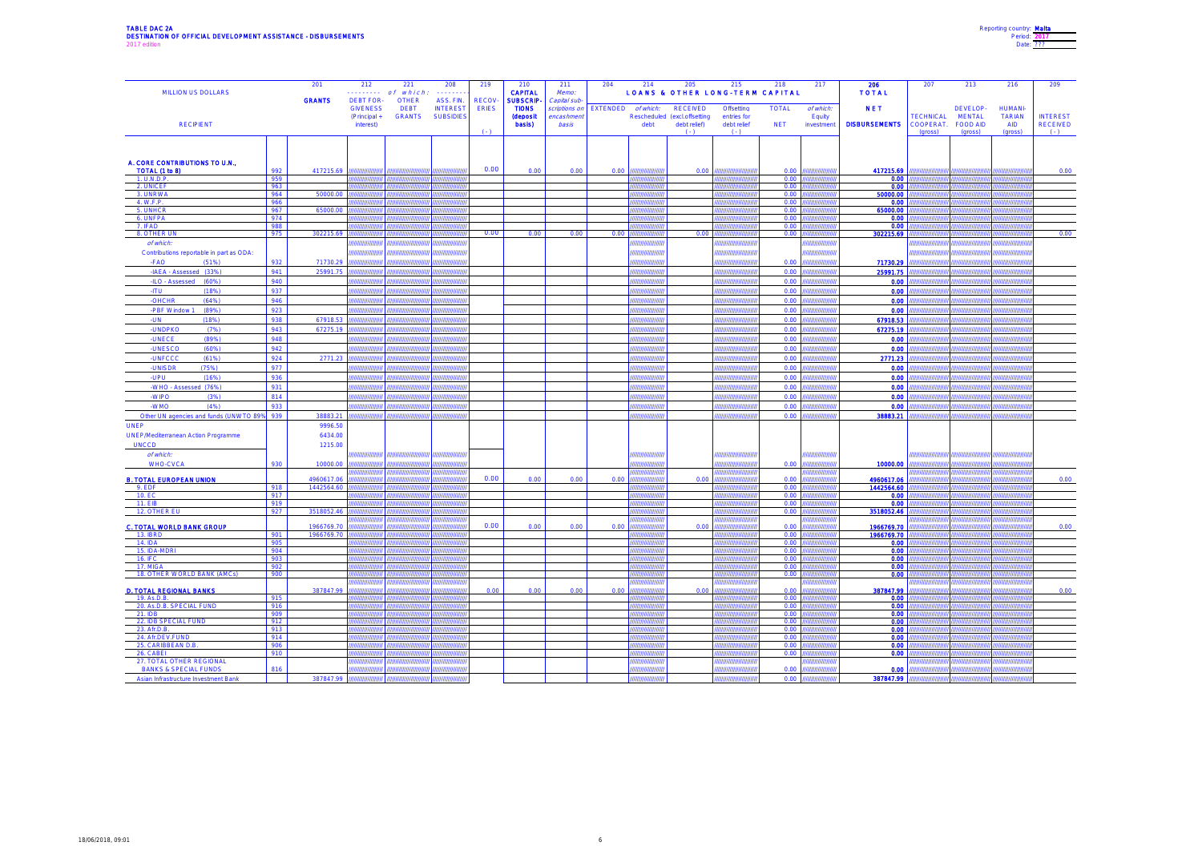# TABLE DAC 2A<br>DESTINATION OF OFFICIAL DEVELOPMENT ASSISTANCE - DISBURSEMENTS<br>2017 edition

| Reporting country: Malta |  |
|--------------------------|--|
| Period: 2017             |  |
| Date: 222                |  |
|                          |  |

| MILLION US DOLLARS                            |            | 201                      | 212<br><b><i><u><u>.</u></u></i></b>               | 221<br>which<br>o f                          | 208                                              | 219                          | 210<br><b>CAPITAL</b>                               | 211<br>Memo:                              | 204             | 214                               | 205                                      | 215<br><b>LOANS &amp; OTHER LONG-TERM CAPITAL</b> | 218          | 217                            | 206<br><b>TOTAL</b>      | 207                  | 213                       | 216                               | 209                          |
|-----------------------------------------------|------------|--------------------------|----------------------------------------------------|----------------------------------------------|--------------------------------------------------|------------------------------|-----------------------------------------------------|-------------------------------------------|-----------------|-----------------------------------|------------------------------------------|---------------------------------------------------|--------------|--------------------------------|--------------------------|----------------------|---------------------------|-----------------------------------|------------------------------|
|                                               |            | <b>GRANTS</b>            | <b>DEBT FOR</b><br><b>GIVENESS</b><br>(Principal + | <b>OTHER</b><br><b>DEBT</b><br><b>GRANTS</b> | ASS. FIN.<br><b>INTEREST</b><br><b>SUBSIDIES</b> | <b>RECOV</b><br><b>ERIES</b> | <b>SUBSCRIP</b><br><b>TIONS</b><br><b>(deposit)</b> | Capital sub<br>scriptions or<br>encashmen | <b>EXTENDED</b> | of which:                         | RECEIVED<br>Rescheduled (excl.offsetting | Offsetting<br>entries for                         | <b>TOTAL</b> | of which.<br>Equity            | <b>NET</b>               | <b>TECHNICAL</b>     | DEVELOP-<br><b>MENTAL</b> | <b>HUMANI-</b><br><b>TARIAN</b>   | <b>INTEREST</b>              |
| <b>RECIPIENT</b>                              |            |                          | interest)                                          |                                              |                                                  | $($ .)                       | basis)                                              | basis                                     |                 | debt                              | debt relief)<br>$(-)$                    | debt relief<br>$(\cdot)$                          | <b>NET</b>   | investment                     | <b>DISBURSEMENTS</b>     | COOPERAT.<br>(gross) | FOOD AID<br>(gross)       | <b>AID</b><br>(gross)             | <b>RECEIVED</b><br>$(\cdot)$ |
|                                               |            |                          |                                                    |                                              |                                                  |                              |                                                     |                                           |                 |                                   |                                          |                                                   |              |                                |                          |                      |                           |                                   |                              |
| A. CORE CONTRIBUTIONS TO U.N.,                |            |                          |                                                    |                                              |                                                  |                              |                                                     |                                           |                 |                                   |                                          |                                                   |              |                                |                          |                      |                           |                                   |                              |
| TOTAL (1 to 8)<br>1. U.N.D.P.                 | 992<br>959 | 417215.69                |                                                    |                                              |                                                  | 0.00                         | 0.00                                                | 0.00                                      | 0.00            |                                   | 0.00                                     |                                                   | 0.00<br>0.00 |                                | 417215.69<br>0.00        |                      |                           |                                   | 0.00                         |
| 2. UNICEF                                     | 963        |                          |                                                    |                                              |                                                  |                              |                                                     |                                           |                 |                                   |                                          |                                                   | 0.00         |                                | 0.00                     |                      |                           |                                   |                              |
| 3. UNRWA                                      | 964        | 50000.00                 |                                                    |                                              |                                                  |                              |                                                     |                                           |                 |                                   |                                          |                                                   | 0.00         |                                | 50000.00                 |                      |                           |                                   |                              |
| 4. W.F.P.<br>5. UNHCR                         | 966<br>967 | 65000.0                  |                                                    |                                              |                                                  |                              |                                                     |                                           |                 |                                   |                                          |                                                   | 0.00<br>0.00 |                                | 0.00<br>65000.00         |                      |                           |                                   |                              |
| 6. UNFPA                                      | 974        |                          |                                                    |                                              |                                                  |                              |                                                     |                                           |                 |                                   |                                          |                                                   | 0.00         |                                | 0.00                     |                      |                           |                                   |                              |
| 7. IFAD                                       | 988        |                          |                                                    |                                              |                                                  |                              |                                                     |                                           |                 |                                   |                                          |                                                   | 0.00         |                                | 0.00                     |                      |                           |                                   |                              |
| 8. OTHER UN                                   | 975        | 302215.69                | <i><b><i>HHHHH</i></b></i>                         |                                              |                                                  | 0.00                         | 0.00                                                | 0.00                                      | 0.00            |                                   | 0.00                                     |                                                   | 0.00         |                                | 302215.69                |                      |                           | ,,,,,,,,,,,,,                     | 0.00                         |
| of which.                                     |            |                          |                                                    |                                              |                                                  |                              |                                                     |                                           |                 |                                   |                                          |                                                   |              |                                |                          |                      |                           |                                   |                              |
| Contributions reportable in part as ODA:      |            |                          |                                                    |                                              |                                                  |                              |                                                     |                                           |                 |                                   |                                          |                                                   |              |                                |                          |                      |                           |                                   |                              |
| -FAO<br>(51%)                                 | 932        | 71730.29                 | ,,,,,,,,,,,,<br>mmu                                | ,,,,,,,,,,,,,,,,,                            | ,,,,,,,,,,,,<br>wwww                             |                              |                                                     |                                           |                 | ,,,,,,,,,,,,,,<br>,,,,,,,,,,,,,,, |                                          | ,,,,,,,,,,,,,,,,,                                 | 0.00         | ,,,,,,,,,,,,,,<br><i>mmmmn</i> | 71730.29                 | ,,,,,,,,,,           | ,,,,,,,,,,,,,,            | ,,,,,,,,,,,,,,,<br><i>mmmmm</i>   |                              |
| -IAEA - Assessed (33%)                        | 941        | 25991.75                 |                                                    |                                              |                                                  |                              |                                                     |                                           |                 |                                   |                                          |                                                   | 0.00         |                                | 25991.75                 |                      |                           |                                   |                              |
| -ILO - Assessed (60%)                         | 940        |                          |                                                    |                                              |                                                  |                              |                                                     |                                           |                 |                                   |                                          |                                                   | 0.00         |                                | 0.00                     |                      |                           | ,,,,,,,,,,,,                      |                              |
| <b>ITU</b><br>(18%)                           | 937        |                          | ,,,,,,,,,,                                         |                                              |                                                  |                              |                                                     |                                           |                 | ,,,,,,,,,,,,,,,                   |                                          | ,,,,,,,,,                                         | 0.00         |                                | 0.00                     |                      |                           | ,,,,,,,,,,,,,<br>,,,,,,,,,,,,     |                              |
| -OHCHR<br>(64%)                               | 946<br>923 |                          |                                                    |                                              | ,,,,,,,                                          |                              |                                                     |                                           |                 | ,,,,,,,,,,,,,                     |                                          |                                                   | 0.00<br>0.00 |                                | 0.00<br>0.00             |                      |                           | ,,,,,,,,,,,,,                     |                              |
| -PBF Window 1<br>(89%)<br><b>TIN</b><br>(18%) | 938        | 67918.53                 |                                                    |                                              | ,,,,,,,,,                                        |                              |                                                     |                                           |                 | ,,,,,,,,,,,,,,,,                  |                                          |                                                   | 0.00         | ,,,,,,,<br>uuuu.               | 67918.53                 |                      |                           | ,,,,,,,,,,,,,                     |                              |
| <b>UNDPKO</b><br>(7%)                         | 943        | 67275.19                 |                                                    |                                              |                                                  |                              |                                                     |                                           |                 |                                   |                                          |                                                   | 0.00         |                                | 67275.19                 |                      |                           | www.                              |                              |
| <b>UNECE</b><br>(89% )                        | 948        |                          | ,,,,,,,,,,                                         |                                              | ,,,,,,,,,,                                       |                              |                                                     |                                           |                 | ,,,,,,,,,,,,,,,                   |                                          | ,,,,,,,,,,,,,,,,                                  | 0.00         | ,,,,,,,,                       | 0.00                     |                      | ,,,,,,,,,,,               | ,,,,,,,,,,,,,,                    |                              |
| <b>UNESCO</b><br>(60%)                        | 942        |                          | <i>mmm</i>                                         |                                              | uum                                              |                              |                                                     |                                           |                 | ,,,,,,,,,,,,,,,,                  |                                          |                                                   | 0.00         |                                | 0.00                     |                      | <i>mmm</i>                | ununun.                           |                              |
| <b>UNFCCC</b><br>(61%)                        | 924        | 2771.23                  |                                                    |                                              |                                                  |                              |                                                     |                                           |                 |                                   |                                          |                                                   | 0.00         |                                | 2771.23                  |                      |                           |                                   |                              |
| <b>UNISDR</b><br>(75%)                        | 977        |                          | ,,,,,,,,,,,,                                       | ,,,,,,,,,,,,,,,,,                            | ,,,,,,,,,,,,,                                    |                              |                                                     |                                           |                 | ,,,,,,,,,,,,,,,,                  |                                          | 777777777777777777                                | 0.00         | ,,,,,,,,,,,,,,                 | 0.00                     | ,,,,,,,,,,,,         | ,,,,,,,,,,,,,             | ,,,,,,,,,,,,,,,,                  |                              |
| <b>UPU</b><br>(16%)                           | 936        |                          |                                                    |                                              | mm                                               |                              |                                                     |                                           |                 | mmmmm                             |                                          |                                                   | 0.00         | mm                             | 0.00                     |                      |                           | <i><u>mmunun</u></i>              |                              |
| -WHO - Assessed (76%)                         | 931        |                          |                                                    |                                              |                                                  |                              |                                                     |                                           |                 |                                   |                                          |                                                   | 0.00         |                                | 0.00                     |                      |                           |                                   |                              |
| -WIPO<br>(3%)                                 | 814        |                          | ,,,,,,,,,,,,                                       |                                              | ,,,,,,,,,                                        |                              |                                                     |                                           |                 | ,,,,,,,,,,,,,,,                   |                                          | ,,,,,,,,,,,,,,,,                                  | 0.00         |                                | 0.00                     |                      |                           | ,,,,,,,,,,,,,,                    |                              |
| OMW-<br>(4% )                                 | 933        |                          |                                                    |                                              |                                                  |                              |                                                     |                                           |                 | unnum                             |                                          |                                                   | 0.00         |                                | 0.00                     |                      |                           | ,,,,,,,,,,,,                      |                              |
| Other UN agencies and funds (UNWTO 89%        | 939        | 38883.21                 |                                                    |                                              |                                                  |                              |                                                     |                                           |                 |                                   |                                          |                                                   | 0.00         |                                | 38883.21                 |                      |                           |                                   |                              |
| <b>UNEP</b>                                   |            | 9996.50                  |                                                    |                                              |                                                  |                              |                                                     |                                           |                 |                                   |                                          |                                                   |              |                                |                          |                      |                           |                                   |                              |
| <b>UNEP/Mediterranean Action Programme</b>    |            | 6434.00                  |                                                    |                                              |                                                  |                              |                                                     |                                           |                 |                                   |                                          |                                                   |              |                                |                          |                      |                           |                                   |                              |
| <b>UNCCD</b>                                  |            | 1215.00                  |                                                    |                                              |                                                  |                              |                                                     |                                           |                 |                                   |                                          |                                                   |              |                                |                          |                      |                           |                                   |                              |
| of which:                                     |            |                          |                                                    |                                              |                                                  |                              |                                                     |                                           |                 |                                   |                                          |                                                   |              |                                |                          |                      |                           |                                   |                              |
| <b>WHO-CVCA</b>                               | 930        | 10000.00                 |                                                    |                                              |                                                  |                              |                                                     |                                           |                 |                                   |                                          |                                                   | 0.00         |                                | 10000.00                 |                      |                           |                                   |                              |
|                                               |            |                          |                                                    |                                              |                                                  | 0.00                         |                                                     |                                           |                 |                                   |                                          |                                                   |              |                                |                          |                      |                           |                                   |                              |
| <b>B. TOTAL EUROPEAN UNION</b><br>9. EDF      | 918        | 4960617.06<br>1442564.60 |                                                    |                                              |                                                  |                              | 0.00                                                | 0.00                                      | 0.00            |                                   | 0.00                                     |                                                   | 0.00<br>0.00 |                                | 4960617.06<br>1442564.60 |                      |                           |                                   | 0.00                         |
| 10. EC                                        | 917        |                          |                                                    |                                              |                                                  |                              |                                                     |                                           |                 |                                   |                                          |                                                   | 0.00         |                                | 0.00                     |                      |                           |                                   |                              |
| 11. EIB                                       | 919        |                          |                                                    |                                              |                                                  |                              |                                                     |                                           |                 |                                   |                                          |                                                   | 0.00         |                                | 0.00                     |                      |                           |                                   |                              |
| 12. OTHER EU                                  | 927        | 3518052.46               |                                                    |                                              |                                                  |                              |                                                     |                                           |                 |                                   |                                          |                                                   | 0.00         |                                | 3518052.46               |                      |                           |                                   |                              |
| <b>C. TOTAL WORLD BANK GROUP</b>              |            | 1966769.70               | ,,,,,,,,,,,,                                       |                                              | ,,,,,,,,,,,,,,                                   | 0.00                         | 0.00                                                | 0.00                                      | 0.00            | ,,,,,,,,,,,,,,,                   | 0.00                                     |                                                   | 0.00         | ,,,,,,,,,                      | 1966769.70               |                      | ,,,,,,,,,,,,,,,           | ,,,,,,,,,,,,,<br>,,,,,,,,,,,,,,,, | 0.00                         |
| 13. IBRD                                      | 901        | 1966769.70               | ,,,,,,,,,,,                                        |                                              | 7 <i>111111111111111</i>                         |                              |                                                     |                                           |                 | ,,,,,,,,,,,,,,,,,,                |                                          |                                                   | 0.00         | ,,,,,,,,,,,,,,,                | 1966769.70               |                      | ,,,,,,,,,,,,,,,           | ,,,,,,,,,,,,,,,,,                 |                              |
| 14. IDA                                       | 905        |                          |                                                    |                                              |                                                  |                              |                                                     |                                           |                 |                                   |                                          |                                                   | 0.00         |                                | 0.00                     |                      |                           |                                   |                              |
| 15. IDA-MDRI                                  | 904        |                          |                                                    |                                              |                                                  |                              |                                                     |                                           |                 |                                   |                                          |                                                   | 0.00         |                                | 0.00                     |                      |                           |                                   |                              |
| <b>16. IFC</b><br>17. MIGA                    | 903<br>902 |                          |                                                    |                                              |                                                  |                              |                                                     |                                           |                 |                                   |                                          |                                                   | 0.00<br>0.00 |                                | 0.00<br>0.00             |                      |                           |                                   |                              |
| 18. OTHER WORLD BANK (AMCs)                   | 900        |                          |                                                    |                                              |                                                  |                              |                                                     |                                           |                 |                                   |                                          |                                                   | 0.00         |                                | 0.00                     |                      |                           |                                   |                              |
|                                               |            |                          |                                                    |                                              |                                                  |                              |                                                     |                                           |                 |                                   |                                          |                                                   |              |                                |                          |                      |                           |                                   |                              |
| <b>D. TOTAL REGIONAL BANKS</b>                |            | 387847.99                |                                                    |                                              |                                                  | 0.00                         | 0.00                                                | 0.00                                      | 0.00            |                                   | 0.00                                     |                                                   | 0.00         |                                | 387847.99                |                      |                           |                                   | 0.00                         |
| 19. As.D.B.<br>20. As.D.B. SPECIAL FUND       | 915<br>916 |                          |                                                    |                                              |                                                  |                              |                                                     |                                           |                 |                                   |                                          |                                                   | 0.00<br>0.00 |                                | 0.00<br>0.00             |                      |                           |                                   |                              |
| 21. IDB                                       | 909        |                          |                                                    |                                              |                                                  |                              |                                                     |                                           |                 |                                   |                                          |                                                   | 0.00         |                                | 0.00                     |                      |                           |                                   |                              |
| 22. IDB SPECIAL FUND                          | 912        |                          |                                                    |                                              |                                                  |                              |                                                     |                                           |                 |                                   |                                          |                                                   | 0.00         |                                | 0.00                     |                      |                           |                                   |                              |
| 23. Afr.D.B<br>24. Afr.DEV.FUND               | 913<br>914 |                          |                                                    |                                              |                                                  |                              |                                                     |                                           |                 |                                   |                                          |                                                   | 0.00<br>0.00 |                                | 0.00<br>0.00             |                      |                           |                                   |                              |
| 25. CARIBBEAN D.B                             | 906        |                          |                                                    |                                              |                                                  |                              |                                                     |                                           |                 |                                   |                                          |                                                   | 0.00         |                                | 0.00                     |                      |                           |                                   |                              |
| 26. CABEL                                     | 910        |                          |                                                    |                                              |                                                  |                              |                                                     |                                           |                 |                                   |                                          |                                                   | 0.00         |                                | 0.00                     |                      |                           |                                   |                              |
| 27. TOTAL OTHER REGIONAL                      |            |                          |                                                    |                                              | um                                               |                              |                                                     |                                           |                 | ,,,,,,,,,,,,,,                    |                                          |                                                   |              |                                |                          |                      |                           |                                   |                              |
| <b>BANKS &amp; SPECIAL FUNDS</b>              | 816        |                          |                                                    |                                              |                                                  |                              |                                                     |                                           |                 |                                   |                                          |                                                   | 0.00         |                                | 0.00                     |                      |                           |                                   |                              |
| Asian Infrastructure Investment Bank          |            | 387847.99                |                                                    |                                              | unni                                             |                              |                                                     |                                           |                 |                                   |                                          |                                                   | 0.00         |                                | 387847.99                |                      |                           |                                   |                              |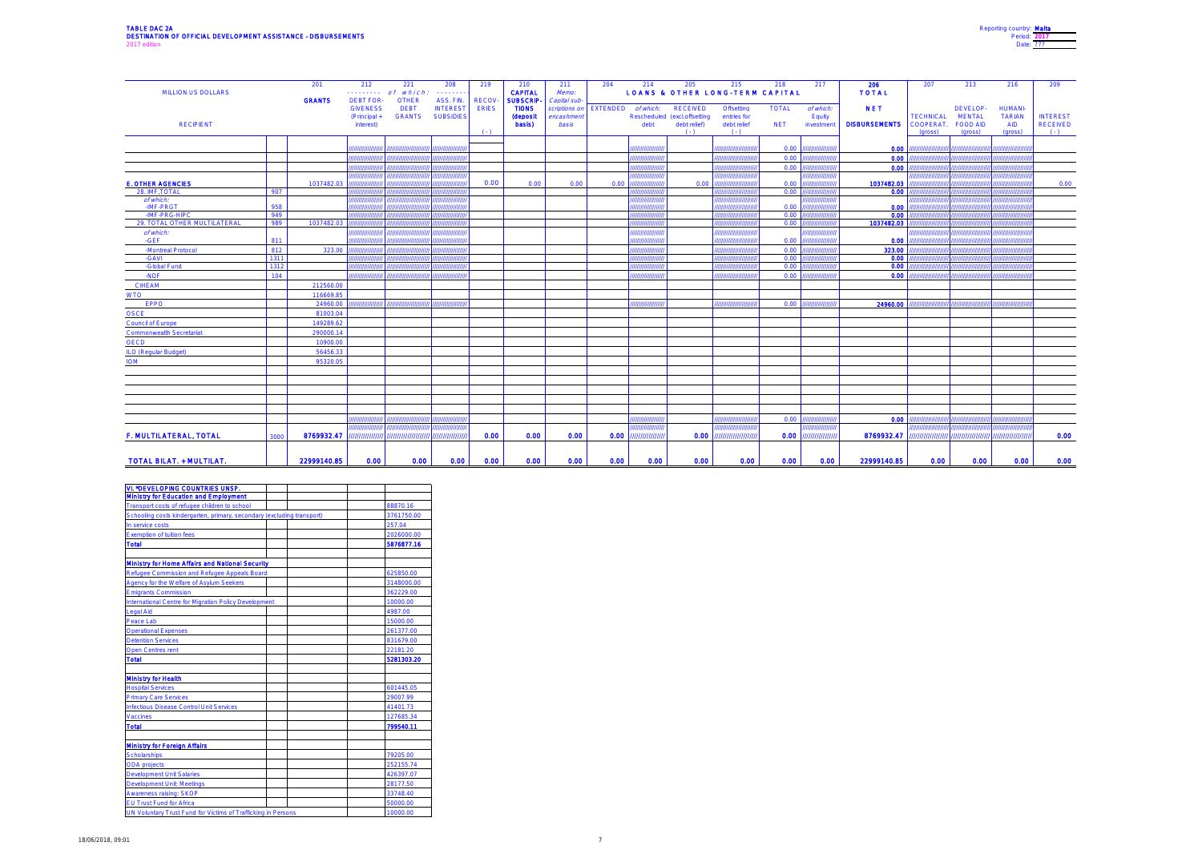| Reporting country: Malta |
|--------------------------|
| Period: 2017             |
| Date: 222                |
|                          |

| <b>MILLION US DOLLARS</b>       |            | 201<br><b>GRANTS</b> | 212<br><b>DEBT FOR-</b>                      | 221<br>$\cdots \cdots \cdots$ of which:<br><b>OTHER</b> | 208<br>ASS. FIN.                    | 219<br><b>RECOV</b>       | 210<br><b>CAPITAL</b><br><b>SUBSCRIP-</b> | 211<br>Memo:<br>Capital sub-        | 204             | 214                             | 205                                                                          | 215<br><b>LOANS &amp; OTHER LONG-TERM CAPITAL</b>   | 218                        | 217                               | 206<br><b>TOTAL</b>                | 207                                      | 213                                              | 216                                                      | 209                                          |
|---------------------------------|------------|----------------------|----------------------------------------------|---------------------------------------------------------|-------------------------------------|---------------------------|-------------------------------------------|-------------------------------------|-----------------|---------------------------------|------------------------------------------------------------------------------|-----------------------------------------------------|----------------------------|-----------------------------------|------------------------------------|------------------------------------------|--------------------------------------------------|----------------------------------------------------------|----------------------------------------------|
| <b>RECIPIENT</b>                |            |                      | <b>GIVENESS</b><br>(Principal +<br>interest) | <b>DEBT</b><br><b>GRANTS</b>                            | <b>INTEREST</b><br><b>SUBSIDIES</b> | <b>ERIES</b><br>$(1 - 1)$ | <b>TIONS</b><br><b>(deposit</b><br>basis) | scriptions on<br>encashmen<br>basis | <b>EXTENDED</b> | of which:<br>debt               | <b>RECEIVED</b><br>Rescheduled (excl.offsetting<br>debt relief)<br>$(1 - 1)$ | Offsetting<br>entries for<br>debt relief<br>$( - )$ | <b>TOTAL</b><br><b>NET</b> | of which:<br>Equity<br>investment | <b>NET</b><br><b>DISBURSEMENTS</b> | <b>TECHNICAL</b><br>COOPERAT.<br>(gross) | DEVELOP-<br><b>MENTAL</b><br>FOOD AID<br>(gross) | <b>HUMANI-</b><br><b>TARIAN</b><br><b>AID</b><br>(gross) | <b>INTEREST</b><br><b>RECEIVED</b><br>$(-1)$ |
|                                 |            |                      |                                              |                                                         |                                     |                           |                                           |                                     |                 |                                 |                                                                              |                                                     | 0.00                       | ,,,,,,,                           | 0.00                               |                                          |                                                  |                                                          |                                              |
|                                 |            |                      | ,,,,,,,,,,,                                  |                                                         |                                     |                           |                                           |                                     |                 | ,,,,,,,,,,,,,,,                 |                                                                              | ,,,,,,,,,,,,,,,,,,,,                                | 0.00                       | ,,,,,,,,,,,,,,                    | 0.00                               |                                          |                                                  | ,,,,,,,,,,,,,,                                           |                                              |
|                                 |            |                      |                                              |                                                         |                                     |                           |                                           |                                     |                 | ,,,,,,,,,,,,                    |                                                                              |                                                     | 0.00                       |                                   | 0.00                               |                                          |                                                  |                                                          |                                              |
|                                 |            |                      |                                              |                                                         |                                     |                           |                                           |                                     |                 |                                 |                                                                              |                                                     |                            |                                   |                                    |                                          |                                                  |                                                          |                                              |
| <b>E. OTHER AGENCIES</b>        |            | 1037482.03           |                                              |                                                         |                                     | 0.00                      | 0.00                                      | 0.00                                | 0.00            |                                 | 0.00                                                                         |                                                     | 0.00                       |                                   | 1037482.03                         |                                          |                                                  |                                                          | 0.00                                         |
| 28. IMF.TOTAL                   | 907        |                      |                                              |                                                         |                                     |                           |                                           |                                     |                 |                                 |                                                                              |                                                     | 0.00                       |                                   | 0.00                               |                                          |                                                  |                                                          |                                              |
| of which:                       |            |                      |                                              |                                                         |                                     |                           |                                           |                                     |                 | ,,,,,,,,,,,,                    |                                                                              |                                                     |                            |                                   |                                    |                                          |                                                  | 711111111                                                |                                              |
| -IMF-PRGT<br>-IMF-PRG-HIPC      | 958        |                      |                                              |                                                         |                                     |                           |                                           |                                     |                 | ' <i>'''''''''</i><br>,,,,,,,,, |                                                                              |                                                     | 0.00                       |                                   | 0.00<br>0.00                       |                                          |                                                  |                                                          |                                              |
| 29. TOTAL OTHER MULTILATERAL    | 949<br>989 | 1037482.03           |                                              |                                                         |                                     |                           |                                           |                                     |                 | 7777777777                      |                                                                              |                                                     | 0.00<br>0.00               |                                   | 1037482.03                         |                                          |                                                  |                                                          |                                              |
| of which:                       |            |                      |                                              |                                                         |                                     |                           |                                           |                                     |                 | ,,,,,,,,,                       |                                                                              |                                                     |                            |                                   |                                    |                                          |                                                  |                                                          |                                              |
| -GEF                            | 811        |                      |                                              |                                                         |                                     |                           |                                           |                                     |                 | ,,,,,,,,,,,,,,,                 |                                                                              |                                                     | 0.00                       |                                   | 0.00                               |                                          |                                                  |                                                          |                                              |
| -Montreal Protocol              | 812        | 323.00               |                                              |                                                         |                                     |                           |                                           |                                     |                 | ,,,,,,,,,,,,,                   |                                                                              |                                                     | 0.00                       |                                   | 323.00                             |                                          |                                                  |                                                          |                                              |
| -GAVI                           | 1311       |                      |                                              |                                                         |                                     |                           |                                           |                                     |                 | ,,,,,,,,                        |                                                                              |                                                     | 0.00                       |                                   | 0.00                               |                                          |                                                  |                                                          |                                              |
| -Global Fund                    | 1312       |                      |                                              |                                                         |                                     |                           |                                           |                                     |                 | ,,,,,,,,,,,                     |                                                                              |                                                     | 0.00                       |                                   | 0.00                               |                                          |                                                  |                                                          |                                              |
| -NDF                            | 104        |                      |                                              |                                                         |                                     |                           |                                           |                                     |                 | ,,,,,,,,,,,,,,,,                |                                                                              | 77777777777777777777                                | 0.00                       |                                   | 0.00                               |                                          |                                                  | ,,,,,,,,,,,,,,                                           |                                              |
| <b>CIHEAM</b>                   |            | 212560.00            |                                              |                                                         |                                     |                           |                                           |                                     |                 |                                 |                                                                              |                                                     |                            |                                   |                                    |                                          |                                                  |                                                          |                                              |
| <b>WTO</b>                      |            | 116669.85            |                                              |                                                         |                                     |                           |                                           |                                     |                 |                                 |                                                                              |                                                     |                            |                                   |                                    |                                          |                                                  |                                                          |                                              |
| <b>EPPO</b>                     |            | 24960.00             |                                              |                                                         |                                     |                           |                                           |                                     |                 | ,,,,,,,,,                       |                                                                              | ,,,,,,,,                                            | 0.00                       | ,,,,,,,                           | 24960.00                           |                                          |                                                  |                                                          |                                              |
| OSCE                            |            | 81003.04             |                                              |                                                         |                                     |                           |                                           |                                     |                 |                                 |                                                                              |                                                     |                            |                                   |                                    |                                          |                                                  |                                                          |                                              |
| Council of Europe               |            | 149289.62            |                                              |                                                         |                                     |                           |                                           |                                     |                 |                                 |                                                                              |                                                     |                            |                                   |                                    |                                          |                                                  |                                                          |                                              |
| Commonwealth Secretariat        |            | 290000.14            |                                              |                                                         |                                     |                           |                                           |                                     |                 |                                 |                                                                              |                                                     |                            |                                   |                                    |                                          |                                                  |                                                          |                                              |
| <b>OECD</b>                     |            | 10900.00             |                                              |                                                         |                                     |                           |                                           |                                     |                 |                                 |                                                                              |                                                     |                            |                                   |                                    |                                          |                                                  |                                                          |                                              |
| <b>ILO (Regular Budget)</b>     |            | 56456.33             |                                              |                                                         |                                     |                           |                                           |                                     |                 |                                 |                                                                              |                                                     |                            |                                   |                                    |                                          |                                                  |                                                          |                                              |
| <b>IOM</b>                      |            | 95320.05             |                                              |                                                         |                                     |                           |                                           |                                     |                 |                                 |                                                                              |                                                     |                            |                                   |                                    |                                          |                                                  |                                                          |                                              |
|                                 |            |                      |                                              |                                                         |                                     |                           |                                           |                                     |                 |                                 |                                                                              |                                                     |                            |                                   |                                    |                                          |                                                  |                                                          |                                              |
|                                 |            |                      |                                              |                                                         |                                     |                           |                                           |                                     |                 |                                 |                                                                              |                                                     |                            |                                   |                                    |                                          |                                                  |                                                          |                                              |
|                                 |            |                      |                                              |                                                         |                                     |                           |                                           |                                     |                 |                                 |                                                                              |                                                     |                            |                                   |                                    |                                          |                                                  |                                                          |                                              |
|                                 |            |                      |                                              |                                                         |                                     |                           |                                           |                                     |                 |                                 |                                                                              |                                                     |                            |                                   |                                    |                                          |                                                  |                                                          |                                              |
|                                 |            |                      |                                              |                                                         |                                     |                           |                                           |                                     |                 |                                 |                                                                              |                                                     |                            |                                   |                                    |                                          |                                                  |                                                          |                                              |
|                                 |            |                      |                                              |                                                         |                                     |                           |                                           |                                     |                 |                                 |                                                                              |                                                     |                            |                                   |                                    |                                          |                                                  |                                                          |                                              |
|                                 |            |                      | ,,,,,,,                                      |                                                         |                                     |                           |                                           |                                     |                 | ,,,,,,,,,,,,                    |                                                                              |                                                     | 0.00                       | ,,,,,,,,,,,,,                     | 0.00                               |                                          |                                                  |                                                          |                                              |
| F. MULTILATERAL, TOTAL          | 3000       | 8769932.47           | ,,,,,,,,,,,,,,                               | ,,,,,,,,,,,,,,,,,,,                                     | 777777777777777                     | 0.00                      | 0.00                                      | 0.00                                | 0.00            | ,,,,,,,,,,,,,                   | 0.00                                                                         | ,,,,,,,,,,,,,,,,,,                                  | 0.00                       | 7777777777777                     | 8769932.47                         |                                          | ,,,,,,,,,,,,,,,,,,,,,,,,,,,,,,,,,,               | 77777777777777                                           | 0.00                                         |
|                                 |            |                      |                                              |                                                         |                                     |                           |                                           |                                     |                 |                                 |                                                                              |                                                     |                            |                                   |                                    |                                          |                                                  |                                                          |                                              |
| <b>TOTAL BILAT. + MULTILAT.</b> |            | 22999140.85          | 0.00                                         | 0.00                                                    | 0.00                                | 0.00                      | 0.00                                      | 0.00                                | 0.00            | 0.00                            | 0.00                                                                         | 0.00                                                | 0.00                       | 0.00                              | 22999140.85                        | 0.00                                     | 0.00                                             | 0.00                                                     | 0.00                                         |

| <b>VI. *DEVELOPING COUNTRIES UNSP.</b>                                 |            |
|------------------------------------------------------------------------|------------|
| <b>Ministry for Education and Employment</b>                           |            |
| Transport costs of refugee children to school                          | 88870.16   |
| Schooling costs kindergarten, primary, secondary (excluding transport) | 3761750.00 |
| In service costs                                                       | 257.04     |
| <b>Exemption of tuition fees</b>                                       | 2026000.00 |
| <b>Total</b>                                                           | 5876877.16 |
|                                                                        |            |
| <b>Ministry for Home Affairs and National Security</b>                 |            |
| Refugee Commission and Refugee Appeals Board                           | 625850.00  |
| Agency for the Welfare of Asylum Seekers                               | 3148000.00 |
| <b>Emigrants Commission</b>                                            | 362229.00  |
| International Centre for Migration Policy Development                  | 10000.00   |
| <b>Legal Aid</b>                                                       | 4987.00    |
| Peace Lab                                                              | 15000.00   |
| <b>Operational Expenses</b>                                            | 261377.00  |
| <b>Detention Services</b>                                              | 831679.00  |
| Open Centres rent                                                      | 22181.20   |
| <b>Total</b>                                                           | 5281303.20 |
|                                                                        |            |
| <b>Ministry for Health</b>                                             |            |
| <b>Hospital Services</b>                                               | 601445.05  |
| <b>Primary Care Services</b>                                           | 29007.99   |
| Infectious Disease Control Unit Services                               | 41401.73   |
| Vaccines                                                               | 127685.34  |
| <b>Total</b>                                                           | 799540.11  |
|                                                                        |            |
| <b>Ministry for Foreign Affairs</b>                                    |            |
| Scholarships                                                           | 79205.00   |
| <b>ODA</b> projects                                                    | 252155.74  |
| <b>Development Unit Salaries</b>                                       | 426397.07  |
| Development Unit: Meetings                                             | 28177.50   |
| Awareness raising: SKOP                                                | 33748.40   |
| EU Trust Fund for Africa                                               | 50000.00   |
| UN Voluntary Trust Fund for Victims of Trafficking in Persons          | 10000.00   |